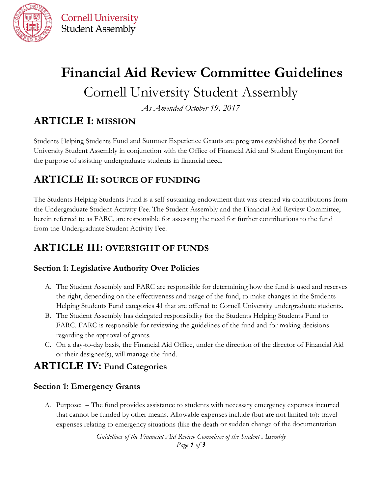

**Cornell University Student Assembly** 

# **Financial Aid Review Committee Guidelines** Cornell University Student Assembly

*As Amended October 19, 2017*

## **ARTICLE I: MISSION**

Students Helping Students Fund and Summer Experience Grants are programs established by the Cornell University Student Assembly in conjunction with the Office of Financial Aid and Student Employment for the purpose of assisting undergraduate students in financial need.

## **ARTICLE II: SOURCE OF FUNDING**

The Students Helping Students Fund is a self-sustaining endowment that was created via contributions from the Undergraduate Student Activity Fee. The Student Assembly and the Financial Aid Review Committee, herein referred to as FARC, are responsible for assessing the need for further contributions to the fund from the Undergraduate Student Activity Fee.

## **ARTICLE III: OVERSIGHT OF FUNDS**

#### **Section 1: Legislative Authority Over Policies**

- A. The Student Assembly and FARC are responsible for determining how the fund is used and reserves the right, depending on the effectiveness and usage of the fund, to make changes in the Students Helping Students Fund categories 41 that are offered to Cornell University undergraduate students.
- B. The Student Assembly has delegated responsibility for the Students Helping Students Fund to FARC. FARC is responsible for reviewing the guidelines of the fund and for making decisions regarding the approval of grants.
- C. On a day-to-day basis, the Financial Aid Office, under the direction of the director of Financial Aid or their designee(s), will manage the fund.

## **ARTICLE IV: Fund Categories**

#### **Section 1: Emergency Grants**

A. Purpose: – The fund provides assistance to students with necessary emergency expenses incurred that cannot be funded by other means. Allowable expenses include (but are not limited to): travel expenses relating to emergency situations (like the death or sudden change of the documentation

> *Guidelines of the Financial Aid Review Committee of the Student Assembly Page 1 of 3*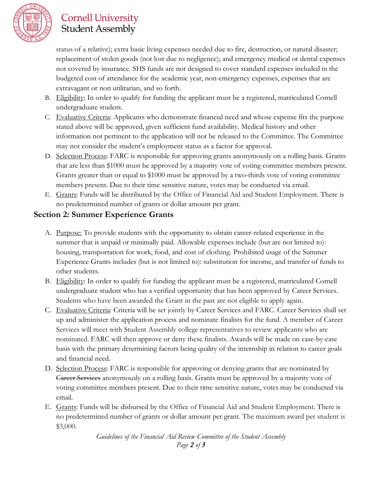

## **Cornell University Student Assembly**

status of a relative); extra basic living expenses needed due to fire, destruction, or natural disaster; replacement of stolen goods (not lost due to negligence); and emergency medical or dental expenses not covered by insurance. SHS funds are not designed to cover standard expenses included in the budgeted cost of attendance for the academic year, non-emergency expenses, expenses that are extravagant or non utilitarian, and so forth.

- B. Eligibility: In order to qualify for funding the applicant must be a registered, matriculated Cornell undergraduate student.
- C. Evaluative Criteria: Applicants who demonstrate financial need and whose expense fits the purpose stated above will be approved, given sufficient fund availability. Medical history and other information not pertinent to the application will not be released to the Committee. The Committee may not consider the student's employment status as a factor for approval.
- D. Selection Process: FARC is responsible for approving grants anonymously on a rolling basis. Grants that are less than \$1000 must be approved by a majority vote of voting committee members present. Grants greater than or equal to \$1000 must be approved by a two-thirds vote of voting committee members present. Due to their time sensitive nature, votes may be conducted via email.
- E. Grants: Funds will be distributed by the Office of Financial Aid and Student Employment. There is no predetermined number of grants or dollar amount per grant.

#### **Section 2: Summer Experience Grants**

- A. Purpose: To provide students with the opportunity to obtain career-related experience in the summer that is unpaid or minimally paid. Allowable expenses include (but are not limited to): housing, transportation for work, food, and cost of clothing. Prohibited usage of the Summer Experience Grants includes (but is not limited to): substitution for income, and transfer of funds to other students.
- B. Eligibility: In order to qualify for funding the applicant must be a registered, matriculated Cornell undergraduate student who has a verified opportunity that has been approved by Career Services. Students who have been awarded the Grant in the past are not eligible to apply again.
- C. Evaluative Criteria: Criteria will be set jointly by Career Services and FARC. Career Services shall set up and administer the application process and nominate finalists for the fund. A member of Career Services will meet with Student Assembly college representatives to review applicants who are nominated. FARC will then approve or deny these finalists. Awards will be made on case-by-case basis with the primary determining factors being quality of the internship in relation to career goals and financial need.
- D. Selection Process: FARC is responsible for approving or denying grants that are nominated by Career Services anonymously on a rolling basis. Grants must be approved by a majority vote of voting committee members present. Due to their time sensitive nature, votes may be conducted via email.
- E. Grants: Funds will be disbursed by the Office of Financial Aid and Student Employment. There is no predetermined number of grants or dollar amount per grant. The maximum award per student is \$3,000.

*Guidelines of the Financial Aid Review Committee of the Student Assembly Page 2 of 3*